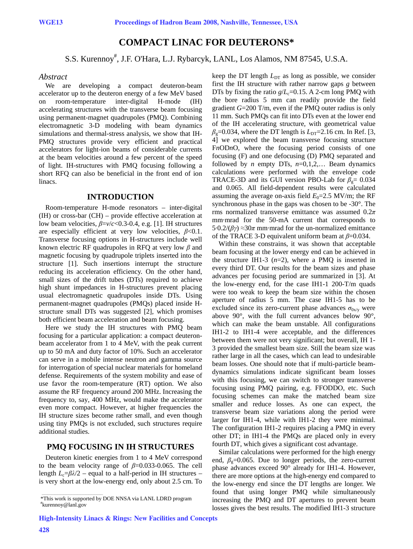## **COMPACT LINAC FOR DEUTERONS\***

# S.S. Kurennoy# , J.F. O'Hara, L.J. Rybarcyk, LANL, Los Alamos, NM 87545, U.S.A.

#### *Abstract*

We are developing a compact deuteron-beam accelerator up to the deuteron energy of a few MeV based on room-temperature inter-digital H-mode (IH) accelerating structures with the transverse beam focusing using permanent-magnet quadrupoles (PMQ). Combining electromagnetic 3-D modeling with beam dynamics simulations and thermal-stress analysis, we show that IH-PMQ structures provide very efficient and practical accelerators for light-ion beams of considerable currents at the beam velocities around a few percent of the speed of light. IH-structures with PMQ focusing following a short RFQ can also be beneficial in the front end of ion linacs.

#### **INTRODUCTION**

Room-temperature H-mode resonators – inter-digital (IH) or cross-bar (CH) – provide effective acceleration at low beam velocities, *β*=*v*/*c*<0.3-0.4, e.g. [1]. IH structures are especially efficient at very low velocities, *β*<0.1. Transverse focusing options in H-structures include well known electric RF quadrupoles in RFQ at very low *β* and magnetic focusing by quadrupole triplets inserted into the structure [1]. Such insertions interrupt the structure reducing its acceleration efficiency. On the other hand, small sizes of the drift tubes (DTs) required to achieve high shunt impedances in H-structures prevent placing usual electromagnetic quadrupoles inside DTs. Using permanent-magnet quadrupoles (PMQs) placed inside Hstructure small DTs was suggested [2], which promises both efficient beam acceleration and beam focusing.

Here we study the IH structures with PMQ beam focusing for a particular application: a compact deuteronbeam accelerator from 1 to 4 MeV, with the peak current up to 50 mA and duty factor of 10%. Such an accelerator can serve in a mobile intense neutron and gamma source for interrogation of special nuclear materials for homeland defense. Requirements of the system mobility and ease of use favor the room-temperature (RT) option. We also assume the RF frequency around 200 MHz. Increasing the frequency to, say, 400 MHz, would make the accelerator even more compact. However, at higher frequencies the IH structure sizes become rather small, and even though using tiny PMQs is not excluded, such structures require additional studies.

#### **PMQ FOCUSING IN IH STRUCTURES**

Deuteron kinetic energies from 1 to 4 MeV correspond to the beam velocity range of *β*=0.033-0.065. The cell length  $L_c=\beta\lambda/2$  – equal to a half-period in IH structures – is very short at the low-energy end, only about 2.5 cm. To keep the DT length  $L_{DT}$  as long as possible, we consider first the IH structure with rather narrow gaps *g* between DTs by fixing the ratio  $g/L_c=0.15$ . A 2-cm long PMQ with the bore radius 5 mm can readily provide the field gradient *G*=200 T/m, even if the PMQ outer radius is only 11 mm. Such PMQs can fit into DTs even at the lower end of the IH accelerating structure, with geometrical value  $\beta$ <sub>g</sub>=0.034, where the DT length is  $L_{DT}$ =2.16 cm. In Ref. [3, 4] we explored the beam transverse focusing structure F*n*OD*n*O, where the focusing period consists of one focusing (F) and one defocusing (D) PMQ separated and followed by *n* empty DTs,  $n=0,1,2,...$  Beam dynamics calculations were performed with the envelope code TRACE-3D and its GUI version PBO-Lab for  $\beta_{0} = 0.034$ and 0.065. All field-dependent results were calculated assuming the average on-axis field  $E_0 = 2.5$  MV/m; the RF synchronous phase in the gaps was chosen to be -30°. The rms normalized transverse emittance was assumed 0.2*π* mm·mrad for the 50-mA current that corresponds to 5·0.2/( $βγ$ ) ≈30 $π$  mm·mrad for the un-normalized emittance of the TRACE 3-D equivalent uniform beam at *β*=0.034.

Within these constrains, it was shown that acceptable beam focusing at the lower energy end can be achieved in the structure IH1-3 (*n*=2), where a PMQ is inserted in every third DT. Our results for the beam sizes and phase advances per focusing period are summarized in [3]. At the low-energy end, for the case IH1-1 200-T/m quads were too weak to keep the beam size within the chosen aperture of radius 5 mm. The case IH1-5 has to be excluded since its zero-current phase advances  $\sigma_{0x/v}$  were above 90°, with the full current advances below 90°, which can make the beam unstable. All configurations IH1-2 to IH1-4 were acceptable, and the differences between them were not very significant; but overall, IH 1- 3 provided the smallest beam size. Still the beam size was rather large in all the cases, which can lead to undesirable beam losses. One should note that if multi-particle beamdynamics simulations indicate significant beam losses with this focusing, we can switch to stronger transverse focusing using PMQ pairing, e.g. FFODDO, etc. Such focusing schemes can make the matched beam size smaller and reduce losses. As one can expect, the transverse beam size variations along the period were larger for IH1-4, while with IH1-2 they were minimal. The configuration IH1-2 requires placing a PMQ in every other DT; in IH1-4 the PMQs are placed only in every fourth DT, which gives a significant cost advantage.

Similar calculations were performed for the high energy end,  $\beta$ <sub>g</sub>=0.065. Due to longer periods, the zero-current phase advances exceed 90° already for IH1-4. However, there are more options at the high-energy end compared to the low-energy end since the DT lengths are longer. We found that using longer PMQ while simultaneously increasing the PMQ and DT apertures to prevent beam losses gives the best results. The modified IH1-3 structure

 $\mathcal{L}=\mathcal{L}=\mathcal{L}=\mathcal{L}=\mathcal{L}=\mathcal{L}=\mathcal{L}=\mathcal{L}=\mathcal{L}=\mathcal{L}=\mathcal{L}=\mathcal{L}=\mathcal{L}=\mathcal{L}=\mathcal{L}=\mathcal{L}=\mathcal{L}=\mathcal{L}=\mathcal{L}=\mathcal{L}=\mathcal{L}=\mathcal{L}=\mathcal{L}=\mathcal{L}=\mathcal{L}=\mathcal{L}=\mathcal{L}=\mathcal{L}=\mathcal{L}=\mathcal{L}=\mathcal{L}=\mathcal{L}=\mathcal{L}=\mathcal{L}=\mathcal{L}=\mathcal{L}=\mathcal{$ 

<sup>\*</sup>This work is supported by DOE NNSA via LANL LDRD program # kurennoy@lanl.gov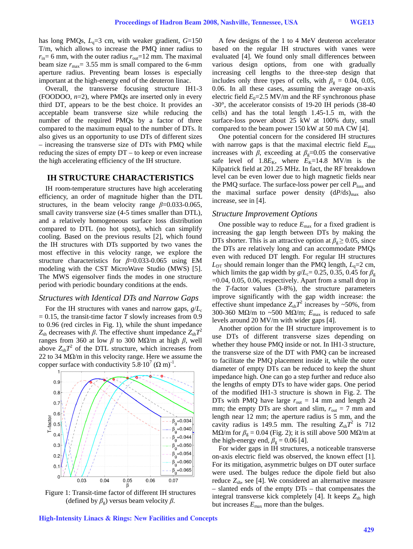has long PMQs,  $L<sub>q</sub>=3$  cm, with weaker gradient,  $G=150$ T/m, which allows to increase the PMQ inner radius to  $r_{\text{in}}=6$  mm, with the outer radius  $r_{\text{out}}=12$  mm. The maximal beam size  $r_{\text{max}}$  = 3.55 mm is small compared to the 6-mm aperture radius. Preventing beam losses is especially important at the high-energy end of the deuteron linac.

Overall, the transverse focusing structure IH1-3 (FOODOO, *n*=2), where PMQs are inserted only in every third DT, appears to be the best choice. It provides an acceptable beam transverse size while reducing the number of the required PMQs by a factor of three compared to the maximum equal to the number of DTs. It also gives us an opportunity to use DTs of different sizes – increasing the transverse size of DTs with PMQ while reducing the sizes of empty DT – to keep or even increase the high accelerating efficiency of the IH structure.

#### **IH STRUCTURE CHARACTERISTICS**

IH room-temperature structures have high accelerating efficiency, an order of magnitude higher than the DTL structures, in the beam velocity range  $\beta$ =0.033-0.065, small cavity transverse size (4-5 times smaller than DTL), and a relatively homogeneous surface loss distribution compared to DTL (no hot spots), which can simplify cooling. Based on the previous results [2], which found the IH structures with DTs supported by two vanes the most effective in this velocity range, we explore the structure characteristics for *β*=0.033-0.065 using EM modeling with the CST MicroWave Studio (MWS) [5]. The MWS eigensolver finds the modes in one structure period with periodic boundary conditions at the ends.

#### *Structures with Identical DTs and Narrow Gaps*

For the IH structures with vanes and narrow gaps,  $g/L_c$  $= 0.15$ , the transit-time factor *T* slowly increases from 0.9 to 0.96 (red circles in Fig. 1), while the shunt impedance *Z*<sub>sh</sub> decreases with *β*. The effective shunt impedance  $Z_{sh}T^2$ ranges from 360 at low *β* to 300 MΩ/m at high *β*, well above  $Z_{\rm sh}T^2$  of the DTL structure, which increases from 22 to 34 M $\Omega$ /m in this velocity range. Here we assume the copper surface with conductivity  $5.8 \cdot 10^7$  ( $\Omega$  m)<sup>-1</sup>.



Figure 1: Transit-time factor of different IH structures (defined by  $\beta_g$ ) versus beam velocity  $\beta$ .

High-Intensity Linacs & Rings: New Facilities and Concepts

A few designs of the 1 to 4 MeV deuteron accelerator based on the regular IH structures with vanes were evaluated [4]. We found only small differences between various design options, from one with gradually increasing cell lengths to the three-step design that includes only three types of cells, with  $\beta_{\rm g} = 0.04, 0.05,$ 0.06. In all these cases, assuming the average on-axis electric field  $E_0$ =2.5 MV/m and the RF synchronous phase -30°, the accelerator consists of 19-20 IH periods (38-40 cells) and has the total length 1.45-1.5 m, with the surface-loss power about 25 kW at 100% duty, small compared to the beam power 150 kW at 50 mA CW [4].

One potential concern for the considered IH structures with narrow gaps is that the maximal electric field *E*max increases with *β*, exceeding at  $\beta$ <sub>g</sub>=0.05 the conservative safe level of  $1.8E_K$ , where  $E_K$ =14.8 MV/m is the Kilpatrick field at 201.25 MHz. In fact, the RF breakdown level can be even lower due to high magnetic fields near the PMQ surface. The surface-loss power per cell  $P_{\text{loss}}$  and the maximal surface power density  $(dP/ds)_{max}$  also increase, see in [4].

#### *Structure Improvement Options*

One possible way to reduce  $E_{\text{max}}$  for a fixed gradient is increasing the gap length between DTs by making the DTs shorter. This is an attractive option at  $\beta_{\circ} \geq 0.05$ , since the DTs are relatively long and can accommodate PMQs even with reduced DT length. For regular IH structures  $L_{DT}$  should remain longer than the PMQ length,  $L_q=2$  cm, which limits the gap width by  $g/L_c= 0.25, 0.35, 0.45$  for  $\beta_g$  $=0.04$ , 0.05, 0.06, respectively. Apart from a small drop in the *T*-factor values (3-8%), the structure parameters improve significantly with the gap width increase: the effective shunt impedance  $Z_{\text{sh}}T^2$  increases by ~50%, from 300-360 MΩ/m to ~500 MΩ/m;  $E_{\text{max}}$  is reduced to safe levels around 20 MV/m with wider gaps [4].

Another option for the IH structure improvement is to use DTs of different transverse sizes depending on whether they house PMQ inside or not. In IH1-3 structure, the transverse size of the DT with PMQ can be increased to facilitate the PMQ placement inside it, while the outer diameter of empty DTs can be reduced to keep the shunt impedance high. One can go a step further and reduce also the lengths of empty DTs to have wider gaps. One period of the modified IH1-3 structure is shown in Fig. 2. The DTs with PMQ have large  $r_{\text{out}} = 14$  mm and length 24 mm; the empty DTs are short and slim,  $r_{\text{out}} = 7$  mm and length near 12 mm; the aperture radius is 5 mm, and the cavity radius is 149.5 mm. The resulting  $Z_{\text{sh}}T^2$  is 712 MΩ/m for  $β_g = 0.04$  (Fig. 2); it is still above 500 MΩ/m at the high-energy end,  $\beta_{\rm g} = 0.06$  [4].

For wider gaps in IH structures, a noticeable transverse on-axis electric field was observed, the known effect [1]. For its mitigation, asymmetric bulges on DT outer surface were used. The bulges reduce the dipole field but also reduce  $Z_{\rm sh}$ , see [4]. We considered an alternative measure – slanted ends of the empty DTs – that compensates the integral transverse kick completely [4]. It keeps  $Z_{sh}$  high but increases  $E_{\text{max}}$  more than the bulges.